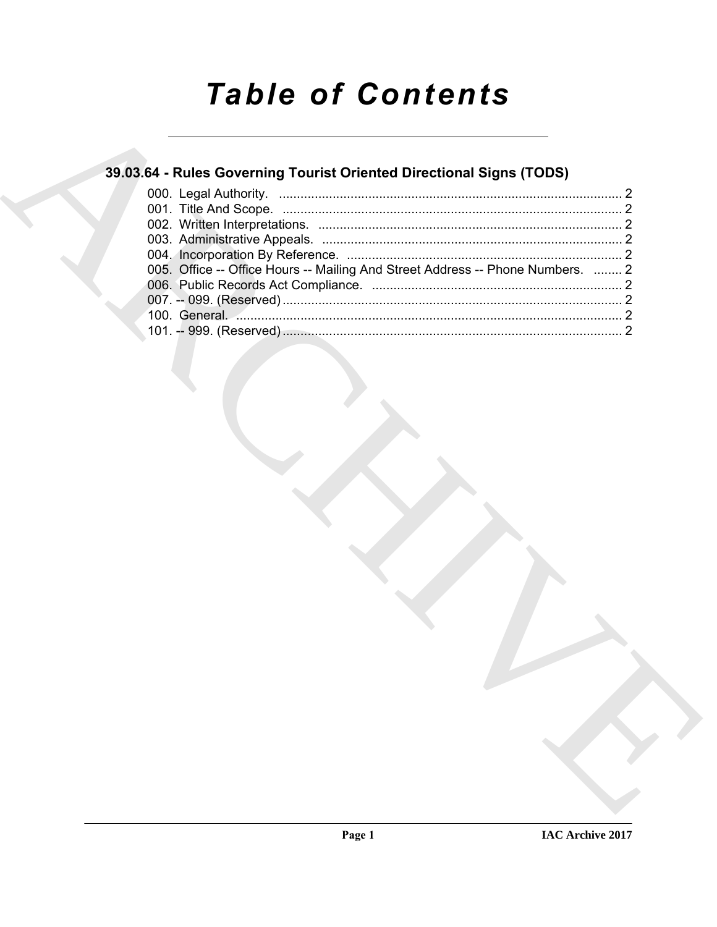# **Table of Contents**

# 39.03.64 - Rules Governing Tourist Oriented Directional Signs (TODS)

| 005. Office -- Office Hours -- Mailing And Street Address -- Phone Numbers.  2 |  |
|--------------------------------------------------------------------------------|--|
|                                                                                |  |
|                                                                                |  |
|                                                                                |  |
|                                                                                |  |
|                                                                                |  |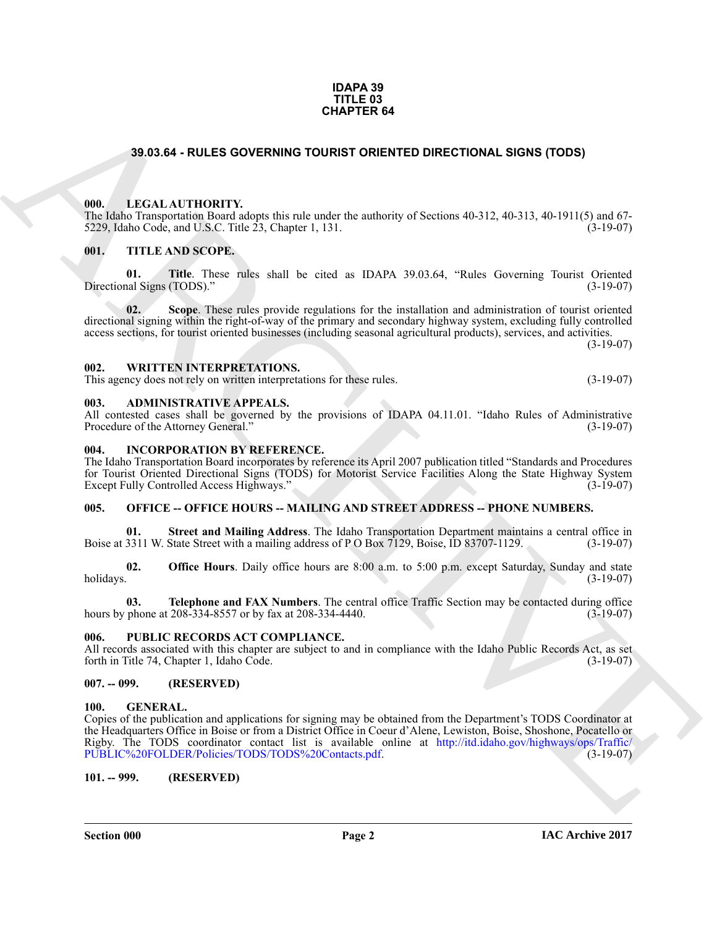#### **IDAPA 39 TITLE 03 CHAPTER 64**

# <span id="page-1-0"></span>**39.03.64 - RULES GOVERNING TOURIST ORIENTED DIRECTIONAL SIGNS (TODS)**

# <span id="page-1-1"></span>**000. LEGAL AUTHORITY.**

The Idaho Transportation Board adopts this rule under the authority of Sections 40-312, 40-313, 40-1911(5) and 67- 5229, Idaho Code, and U.S.C. Title 23, Chapter 1, 131. (3-19-07)

# <span id="page-1-2"></span>**001. TITLE AND SCOPE.**

**01. Title**. These rules shall be cited as IDAPA 39.03.64, "Rules Governing Tourist Oriented ral Signs (TODS)." (3-19-07) Directional Signs (TODS)."

**02. Scope**. These rules provide regulations for the installation and administration of tourist oriented directional signing within the right-of-way of the primary and secondary highway system, excluding fully controlled access sections, for tourist oriented businesses (including seasonal agricultural products), services, and activities.  $(3-19-07)$ 

#### <span id="page-1-3"></span>**002. WRITTEN INTERPRETATIONS.**

This agency does not rely on written interpretations for these rules. (3-19-07)

#### <span id="page-1-4"></span>**003. ADMINISTRATIVE APPEALS.**

All contested cases shall be governed by the provisions of IDAPA 04.11.01. "Idaho Rules of Administrative Procedure of the Attorney General." (3-19-07) Procedure of the Attorney General."

#### <span id="page-1-5"></span>**004. INCORPORATION BY REFERENCE.**

The Idaho Transportation Board incorporates by reference its April 2007 publication titled "Standards and Procedures for Tourist Oriented Directional Signs (TODS) for Motorist Service Facilities Along the State Highway System Except Fully Controlled Access Highways." (3-19-07)

# <span id="page-1-6"></span>**005. OFFICE -- OFFICE HOURS -- MAILING AND STREET ADDRESS -- PHONE NUMBERS.**

**Street and Mailing Address**. The Idaho Transportation Department maintains a central office in State Street with a mailing address of P O Box 7129, Boise, ID 83707-1129. (3-19-07) Boise at 3311 W. State Street with a mailing address of P O Box 7129, Boise, ID 83707-1129.

**02. Office Hours**. Daily office hours are 8:00 a.m. to 5:00 p.m. except Saturday, Sunday and state holidays. (3-19-07)  $h$ olidays.  $(3-19-07)$ 

**03. Telephone and FAX Numbers**. The central office Traffic Section may be contacted during office hours by phone at 208-334-8557 or by fax at 208-334-4440. (3-19-07)

## <span id="page-1-7"></span>**006. PUBLIC RECORDS ACT COMPLIANCE.**

All records associated with this chapter are subject to and in compliance with the Idaho Public Records Act, as set forth in Title 74, Chapter 1, Idaho Code. (3-19-07)

## <span id="page-1-8"></span>**007. -- 099. (RESERVED)**

## <span id="page-1-11"></span><span id="page-1-9"></span>**100. GENERAL.**

**34.03.64 - RUL[E](http://itd.idaho.gov/highways/ops/Traffic/PUBLIC%20FOLDER/Policies/TODS/TODS%20Contacts.pdf)S OOVERINNO TOURIST ORIENTED DIRECTIONAL SIGNS (TODS)**<br>
1911. LECAL ALTHORITY - LECAL RULES ON THE RESIDENT ORIGINAL SERVICES (1.91), 40 (911/5) and 67<br>
1920. Non-THE AND SCOPE.<br>
1911. THE AND SCOPE.<br>
The Copies of the publication and applications for signing may be obtained from the Department's TODS Coordinator at the Headquarters Office in Boise or from a District Office in Coeur d'Alene, Lewiston, Boise, Shoshone, Pocatello or Rigby. The TODS coordinator contact list is available online at http://itd.idaho.gov/highways/ops/Traffic/<br>PUBLIC%20FOLDER/Policies/TODS/TODS%20Contacts.pdf. (3-19-07) PUBLIC%20FOLDER/Policies/TODS/TODS%20Contacts.pdf.

<span id="page-1-10"></span>**101. -- 999. (RESERVED)**

**Section 000 Page 2**